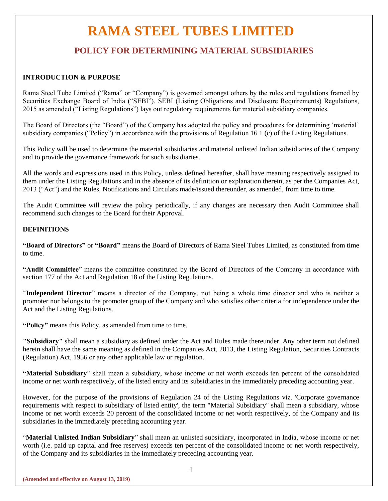# **RAMA STEEL TUBES LIMITED**

## **POLICY FOR DETERMINING MATERIAL SUBSIDIARIES**

### **INTRODUCTION & PURPOSE**

Rama Steel Tube Limited ("Rama" or "Company") is governed amongst others by the rules and regulations framed by Securities Exchange Board of India ("SEBI"). SEBI (Listing Obligations and Disclosure Requirements) Regulations, 2015 as amended ("Listing Regulations") lays out regulatory requirements for material subsidiary companies.

The Board of Directors (the "Board") of the Company has adopted the policy and procedures for determining 'material' subsidiary companies ("Policy") in accordance with the provisions of Regulation 16 1 (c) of the Listing Regulations.

This Policy will be used to determine the material subsidiaries and material unlisted Indian subsidiaries of the Company and to provide the governance framework for such subsidiaries.

All the words and expressions used in this Policy, unless defined hereafter, shall have meaning respectively assigned to them under the Listing Regulations and in the absence of its definition or explanation therein, as per the Companies Act, 2013 ("Act") and the Rules, Notifications and Circulars made/issued thereunder, as amended, from time to time.

The Audit Committee will review the policy periodically, if any changes are necessary then Audit Committee shall recommend such changes to the Board for their Approval.

### **DEFINITIONS**

**"Board of Directors"** or **"Board"** means the Board of Directors of Rama Steel Tubes Limited, as constituted from time to time.

**"Audit Committee**" means the committee constituted by the Board of Directors of the Company in accordance with section 177 of the Act and Regulation 18 of the Listing Regulations.

"**Independent Director**" means a director of the Company, not being a whole time director and who is neither a promoter nor belongs to the promoter group of the Company and who satisfies other criteria for independence under the Act and the Listing Regulations.

**"Policy"** means this Policy, as amended from time to time.

**"Subsidiary"** shall mean a subsidiary as defined under the Act and Rules made thereunder. Any other term not defined herein shall have the same meaning as defined in the Companies Act, 2013, the Listing Regulation, Securities Contracts (Regulation) Act, 1956 or any other applicable law or regulation.

**"Material Subsidiary**" shall mean a subsidiary, whose income or net worth exceeds ten percent of the consolidated income or net worth respectively, of the listed entity and its subsidiaries in the immediately preceding accounting year.

However, for the purpose of the provisions of Regulation 24 of the Listing Regulations viz. 'Corporate governance requirements with respect to subsidiary of listed entity', the term "Material Subsidiary" shall mean a subsidiary, whose income or net worth exceeds 20 percent of the consolidated income or net worth respectively, of the Company and its subsidiaries in the immediately preceding accounting year.

"**Material Unlisted Indian Subsidiary**" shall mean an unlisted subsidiary, incorporated in India, whose income or net worth (i.e. paid up capital and free reserves) exceeds ten percent of the consolidated income or net worth respectively, of the Company and its subsidiaries in the immediately preceding accounting year.